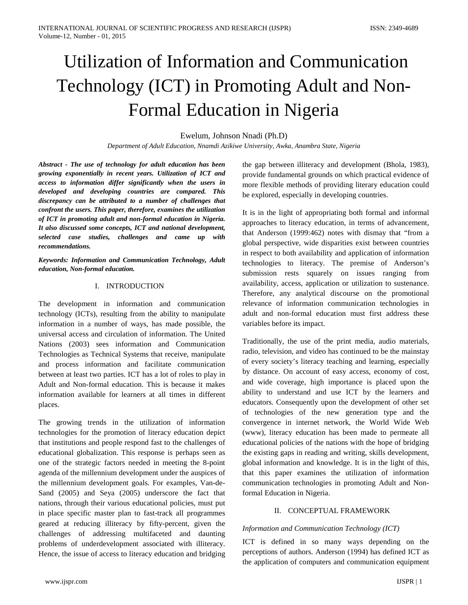# Utilization of Information and Communication Technology (ICT) in Promoting Adult and Non-Formal Education in Nigeria

# Ewelum, Johnson Nnadi (Ph.D)

*Department of Adult Education, Nnamdi Azikiwe University, Awka, Anambra State, Nigeria*

*Abstract - The use of technology for adult education has been growing exponentially in recent years. Utilization of ICT and access to information differ significantly when the users in developed and developing countries are compared. This discrepancy can be attributed to a number of challenges that confront the users. This paper, therefore, examines the utilization of ICT in promoting adult and non-formal education in Nigeria. It also discussed some concepts, ICT and national development, selected case studies, challenges and came up with recommendations.*

*Keywords: Information and Communication Technology, Adult education, Non-formal education.*

#### I. INTRODUCTION

The development in information and communication technology (ICTs), resulting from the ability to manipulate information in a number of ways, has made possible, the universal access and circulation of information. The United Nations (2003) sees information and Communication Technologies as Technical Systems that receive, manipulate and process information and facilitate communication between at least two parties. ICT has a lot of roles to play in Adult and Non-formal education. This is because it makes information available for learners at all times in different places.

The growing trends in the utilization of information technologies for the promotion of literacy education depict that institutions and people respond fast to the challenges of educational globalization. This response is perhaps seen as one of the strategic factors needed in meeting the 8-point agenda of the millennium development under the auspices of the millennium development goals. For examples, Van-de-Sand (2005) and Seya (2005) underscore the fact that nations, through their various educational policies, must put in place specific master plan to fast-track all programmes geared at reducing illiteracy by fifty-percent, given the challenges of addressing multifaceted and daunting problems of underdevelopment associated with illiteracy. Hence, the issue of access to literacy education and bridging the gap between illiteracy and development (Bhola, 1983), provide fundamental grounds on which practical evidence of more flexible methods of providing literary education could be explored, especially in developing countries.

It is in the light of appropriating both formal and informal approaches to literacy education, in terms of advancement, that Anderson (1999:462) notes with dismay that "from a global perspective, wide disparities exist between countries in respect to both availability and application of information technologies to literacy. The premise of Anderson's submission rests squarely on issues ranging from availability, access, application or utilization to sustenance. Therefore, any analytical discourse on the promotional relevance of information communication technologies in adult and non-formal education must first address these variables before its impact.

Traditionally, the use of the print media, audio materials, radio, television, and video has continued to be the mainstay of every society's literacy teaching and learning, especially by distance. On account of easy access, economy of cost, and wide coverage, high importance is placed upon the ability to understand and use ICT by the learners and educators. Consequently upon the development of other set of technologies of the new generation type and the convergence in internet network, the World Wide Web (www), literacy education has been made to permeate all educational policies of the nations with the hope of bridging the existing gaps in reading and writing, skills development, global information and knowledge. It is in the light of this, that this paper examines the utilization of information communication technologies in promoting Adult and Nonformal Education in Nigeria.

# II. CONCEPTUAL FRAMEWORK

# *Information and Communication Technology (ICT)*

ICT is defined in so many ways depending on the perceptions of authors. Anderson (1994) has defined ICT as the application of computers and communication equipment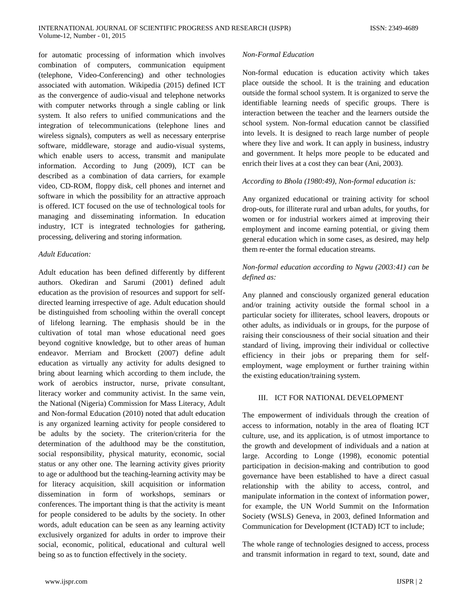for automatic processing of information which involves combination of computers, communication equipment (telephone, Video-Conferencing) and other technologies associated with automation. Wikipedia (2015) defined ICT as the convergence of audio-visual and telephone networks with computer networks through a single cabling or link system. It also refers to unified communications and the integration of telecommunications (telephone lines and wireless signals), computers as well as necessary enterprise software, middleware, storage and audio-visual systems, which enable users to access, transmit and manipulate information. According to Jung (2009), ICT can be described as a combination of data carriers, for example video, CD-ROM, floppy disk, cell phones and internet and software in which the possibility for an attractive approach is offered. ICT focused on the use of technological tools for managing and disseminating information. In education industry, ICT is integrated technologies for gathering, processing, delivering and storing information.

#### *Adult Education:*

Adult education has been defined differently by different authors. Okediran and Sarumi (2001) defined adult education as the provision of resources and support for selfdirected learning irrespective of age. Adult education should be distinguished from schooling within the overall concept of lifelong learning. The emphasis should be in the cultivation of total man whose educational need goes beyond cognitive knowledge, but to other areas of human endeavor. Merriam and Brockett (2007) define adult education as virtually any activity for adults designed to bring about learning which according to them include, the work of aerobics instructor, nurse, private consultant, literacy worker and community activist. In the same vein, the National (Nigeria) Commission for Mass Literacy, Adult and Non-formal Education (2010) noted that adult education is any organized learning activity for people considered to be adults by the society. The criterion/criteria for the determination of the adulthood may be the constitution, social responsibility, physical maturity, economic, social status or any other one. The learning activity gives priority to age or adulthood but the teaching-learning activity may be for literacy acquisition, skill acquisition or information dissemination in form of workshops, seminars or conferences. The important thing is that the activity is meant for people considered to be adults by the society. In other words, adult education can be seen as any learning activity exclusively organized for adults in order to improve their social, economic, political, educational and cultural well being so as to function effectively in the society.

# *Non-Formal Education*

Non-formal education is education activity which takes place outside the school. It is the training and education outside the formal school system. It is organized to serve the identifiable learning needs of specific groups. There is interaction between the teacher and the learners outside the school system. Non-formal education cannot be classified into levels. It is designed to reach large number of people where they live and work. It can apply in business, industry and government. It helps more people to be educated and enrich their lives at a cost they can bear (Ani, 2003).

#### *According to Bhola (1980:49), Non-formal education is:*

Any organized educational or training activity for school drop-outs, for illiterate rural and urban adults, for youths, for women or for industrial workers aimed at improving their employment and income earning potential, or giving them general education which in some cases, as desired, may help them re-enter the formal education streams.

# *Non-formal education according to Ngwu (2003:41) can be defined as:*

Any planned and consciously organized general education and/or training activity outside the formal school in a particular society for illiterates, school leavers, dropouts or other adults, as individuals or in groups, for the purpose of raising their consciousness of their social situation and their standard of living, improving their individual or collective efficiency in their jobs or preparing them for selfemployment, wage employment or further training within the existing education/training system.

# III. ICT FOR NATIONAL DEVELOPMENT

The empowerment of individuals through the creation of access to information, notably in the area of floating ICT culture, use, and its application, is of utmost importance to the growth and development of individuals and a nation at large. According to Longe (1998), economic potential participation in decision-making and contribution to good governance have been established to have a direct casual relationship with the ability to access, control, and manipulate information in the context of information power, for example, the UN World Summit on the Information Society (WSLS) Geneva, in 2003, defined Information and Communication for Development (ICTAD) ICT to include;

The whole range of technologies designed to access, process and transmit information in regard to text, sound, date and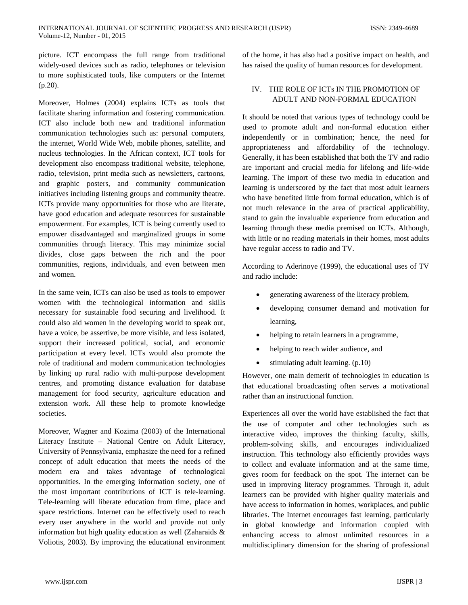picture. ICT encompass the full range from traditional widely-used devices such as radio, telephones or television to more sophisticated tools, like computers or the Internet (p.20).

Moreover, Holmes (2004) explains ICTs as tools that facilitate sharing information and fostering communication. ICT also include both new and traditional information communication technologies such as: personal computers, the internet, World Wide Web, mobile phones, satellite, and nucleus technologies. In the African context, ICT tools for development also encompass traditional website, telephone, radio, television, print media such as newsletters, cartoons, and graphic posters, and community communication initiatives including listening groups and community theatre. ICTs provide many opportunities for those who are literate, have good education and adequate resources for sustainable empowerment. For examples, ICT is being currently used to empower disadvantaged and marginalized groups in some communities through literacy. This may minimize social divides, close gaps between the rich and the poor communities, regions, individuals, and even between men and women.

In the same vein, ICTs can also be used as tools to empower women with the technological information and skills necessary for sustainable food securing and livelihood. It could also aid women in the developing world to speak out, have a voice, be assertive, be more visible, and less isolated, support their increased political, social, and economic participation at every level. ICTs would also promote the role of traditional and modern communication technologies by linking up rural radio with multi-purpose development centres, and promoting distance evaluation for database management for food security, agriculture education and extension work. All these help to promote knowledge societies.

Moreover, Wagner and Kozima (2003) of the International Literacy Institute – National Centre on Adult Literacy, University of Pennsylvania, emphasize the need for a refined concept of adult education that meets the needs of the modern era and takes advantage of technological opportunities. In the emerging information society, one of the most important contributions of ICT is tele-learning. Tele-learning will liberate education from time, place and space restrictions. Internet can be effectively used to reach every user anywhere in the world and provide not only information but high quality education as well (Zaharaids & Voliotis, 2003). By improving the educational environment of the home, it has also had a positive impact on health, and has raised the quality of human resources for development.

# IV. THE ROLE OF ICTs IN THE PROMOTION OF ADULT AND NON-FORMAL EDUCATION

It should be noted that various types of technology could be used to promote adult and non-formal education either independently or in combination; hence, the need for appropriateness and affordability of the technology. Generally, it has been established that both the TV and radio are important and crucial media for lifelong and life-wide learning. The import of these two media in education and learning is underscored by the fact that most adult learners who have benefited little from formal education, which is of not much relevance in the area of practical applicability, stand to gain the invaluable experience from education and learning through these media premised on ICTs. Although, with little or no reading materials in their homes, most adults have regular access to radio and TV.

According to Aderinoye (1999), the educational uses of TV and radio include:

- generating awareness of the literacy problem,
- developing consumer demand and motivation for learning,
- helping to retain learners in a programme,
- helping to reach wider audience, and
- stimulating adult learning. (p.10)

However, one main demerit of technologies in education is that educational broadcasting often serves a motivational rather than an instructional function.

Experiences all over the world have established the fact that the use of computer and other technologies such as interactive video, improves the thinking faculty, skills, problem-solving skills, and encourages individualized instruction. This technology also efficiently provides ways to collect and evaluate information and at the same time, gives room for feedback on the spot. The internet can be used in improving literacy programmes. Through it, adult learners can be provided with higher quality materials and have access to information in homes, workplaces, and public libraries. The Internet encourages fast learning, particularly in global knowledge and information coupled with enhancing access to almost unlimited resources in a multidisciplinary dimension for the sharing of professional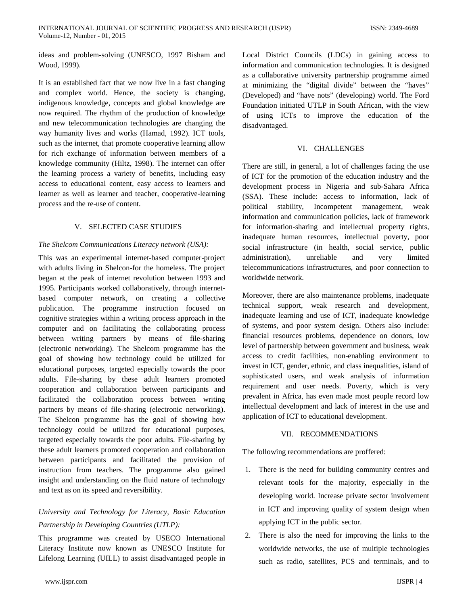ideas and problem-solving (UNESCO, 1997 Bisham and Wood, 1999).

It is an established fact that we now live in a fast changing and complex world. Hence, the society is changing, indigenous knowledge, concepts and global knowledge are now required. The rhythm of the production of knowledge and new telecommunication technologies are changing the way humanity lives and works (Hamad, 1992). ICT tools, such as the internet, that promote cooperative learning allow for rich exchange of information between members of a knowledge community (Hiltz, 1998). The internet can offer the learning process a variety of benefits, including easy access to educational content, easy access to learners and learner as well as learner and teacher, cooperative-learning process and the re-use of content.

# V. SELECTED CASE STUDIES

# *The Shelcom Communications Literacy network (USA):*

This was an experimental internet-based computer-project with adults living in Shelcon-for the homeless. The project began at the peak of internet revolution between 1993 and 1995. Participants worked collaboratively, through internetbased computer network, on creating a collective publication. The programme instruction focused on cognitive strategies within a writing process approach in the computer and on facilitating the collaborating process between writing partners by means of file-sharing (electronic networking). The Shelcom programme has the goal of showing how technology could be utilized for educational purposes, targeted especially towards the poor adults. File-sharing by these adult learners promoted cooperation and collaboration between participants and facilitated the collaboration process between writing partners by means of file-sharing (electronic networking). The Shelcon programme has the goal of showing how technology could be utilized for educational purposes, targeted especially towards the poor adults. File-sharing by these adult learners promoted cooperation and collaboration between participants and facilitated the provision of instruction from teachers. The programme also gained insight and understanding on the fluid nature of technology and text as on its speed and reversibility.

# *University and Technology for Literacy, Basic Education Partnership in Developing Countries (UTLP):*

This programme was created by USECO International Literacy Institute now known as UNESCO Institute for Lifelong Learning (UILL) to assist disadvantaged people in

Local District Councils (LDCs) in gaining access to information and communication technologies. It is designed as a collaborative university partnership programme aimed at minimizing the "digital divide" between the "haves" (Developed) and "have nots" (developing) world. The Ford Foundation initiated UTLP in South African, with the view of using ICTs to improve the education of the disadvantaged.

# VI. CHALLENGES

There are still, in general, a lot of challenges facing the use of ICT for the promotion of the education industry and the development process in Nigeria and sub-Sahara Africa (SSA). These include: access to information, lack of political stability, Incompetent management, weak information and communication policies, lack of framework for information-sharing and intellectual property rights, inadequate human resources, intellectual poverty, poor social infrastructure (in health, social service, public administration), unreliable and very limited telecommunications infrastructures, and poor connection to worldwide network.

Moreover, there are also maintenance problems, inadequate technical support, weak research and development, inadequate learning and use of ICT, inadequate knowledge of systems, and poor system design. Others also include: financial resources problems, dependence on donors, low level of partnership between government and business, weak access to credit facilities, non-enabling environment to invest in ICT, gender, ethnic, and class inequalities, island of sophisticated users, and weak analysis of information requirement and user needs. Poverty, which is very prevalent in Africa, has even made most people record low intellectual development and lack of interest in the use and application of ICT to educational development.

# VII. RECOMMENDATIONS

The following recommendations are proffered:

- 1. There is the need for building community centres and relevant tools for the majority, especially in the developing world. Increase private sector involvement in ICT and improving quality of system design when applying ICT in the public sector.
- 2. There is also the need for improving the links to the worldwide networks, the use of multiple technologies such as radio, satellites, PCS and terminals, and to